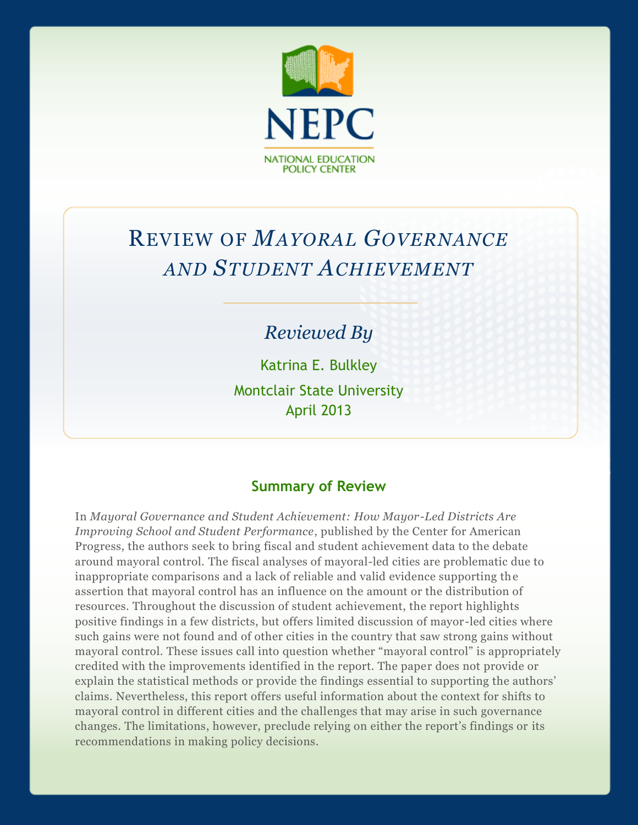

# REVIEW OF *MAYORAL GOVERNANCE AND STUDENT ACHIEVEMENT*

## *Reviewed By*

Katrina E. Bulkley Montclair State University April 2013

## **Summary of Review**

In *Mayoral Governance and Student Achievement: How Mayor-Led Districts Are Improving School and Student Performance*, published by the Center for American Progress, the authors seek to bring fiscal and student achievement data to the debate around mayoral control. The fiscal analyses of mayoral-led cities are problematic due to inappropriate comparisons and a lack of reliable and valid evidence supporting the assertion that mayoral control has an influence on the amount or the distribution of resources. Throughout the discussion of student achievement, the report highlights positive findings in a few districts, but offers limited discussion of mayor -led cities where such gains were not found and of other cities in the country that saw strong gains without mayoral control. These issues call into question whether "mayoral control" is appropriately credited with the improvements identified in the report. The paper does not provide or explain the statistical methods or provide the findings essential to supporting the authors' claims. Nevertheless, this report offers useful information about the context for shifts to mayoral control in different cities and the challenges that may arise in such governance changes. The limitations, however, preclude relying on either the report's findings or its recommendations in making policy decisions.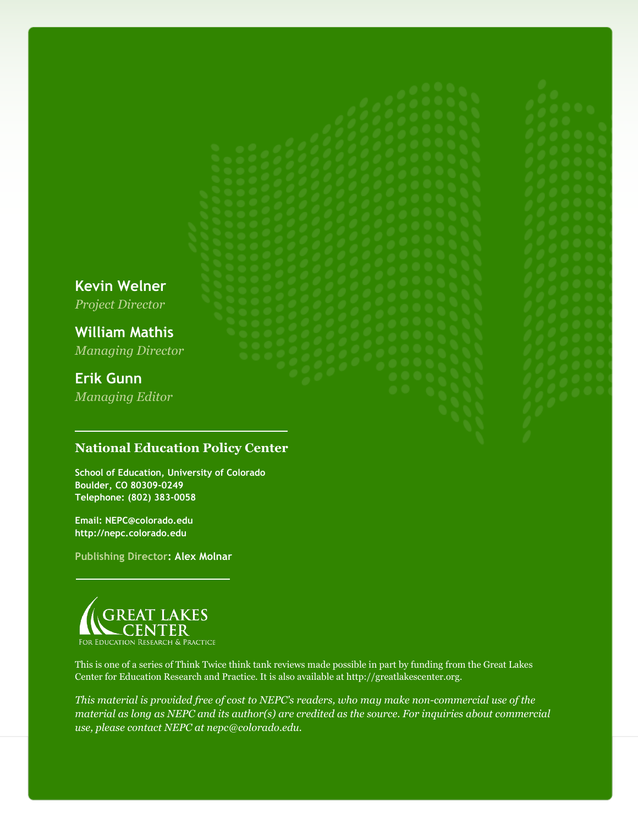**Kevin Welner** *Project Director*

**William Mathis** *Managing Director*

## **Erik Gunn**

*Managing Editor*

### **National Education Policy Center**

**School of Education, University of Colorado Boulder, CO 80309-0249 Telephone: (802) 383-0058**

**Email: NEPC@colorado.edu http://nepc.colorado.edu**

**Publishing Director: Alex Molnar**



This is one of a series of Think Twice think tank reviews made possible in part by funding from the Great Lakes Center for Education Research and Practice. It is also available at http://greatlakescenter.org.

*This material is provided free of cost to NEPC's readers, who may make non-commercial use of the material as long as NEPC and its author(s) are credited as the source. For inquiries about commercial use, please contact NEPC at nepc@colorado.edu.*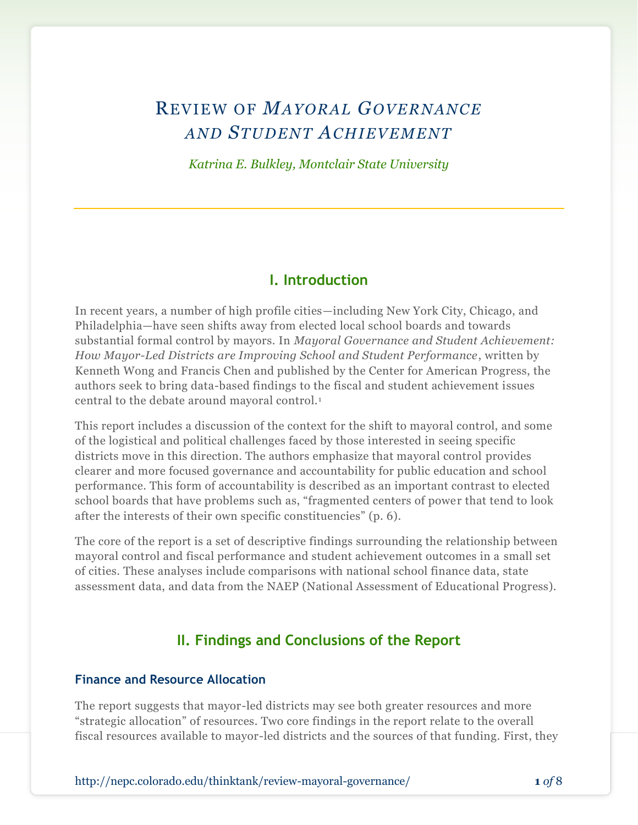## REVIEW OF *MAYORAL GOVERNANCE AND STUDENT ACHIEVEMENT*

*Katrina E. Bulkley, Montclair State University*

#### **I. Introduction**

In recent years, a number of high profile cities—including New York City, Chicago, and Philadelphia—have seen shifts away from elected local school boards and towards substantial formal control by mayors. In *Mayoral Governance and Student Achievement: How Mayor-Led Districts are Improving School and Student Performance*, written by Kenneth Wong and Francis Chen and published by the Center for American Progress, the authors seek to bring data-based findings to the fiscal and student achievement issues central to the debate around mayoral control.<sup>1</sup>

This report includes a discussion of the context for the shift to mayoral control, and some of the logistical and political challenges faced by those interested in seeing specific districts move in this direction. The authors emphasize that mayoral control provides clearer and more focused governance and accountability for public education and school performance. This form of accountability is described as an important contrast to elected school boards that have problems such as, "fragmented centers of power that tend to look after the interests of their own specific constituencies" (p. 6).

The core of the report is a set of descriptive findings surrounding the relationship between mayoral control and fiscal performance and student achievement outcomes in a small set of cities. These analyses include comparisons with national school finance data, state assessment data, and data from the NAEP (National Assessment of Educational Progress).

### **II. Findings and Conclusions of the Report**

#### **Finance and Resource Allocation**

The report suggests that mayor-led districts may see both greater resources and more "strategic allocation" of resources. Two core findings in the report relate to the overall fiscal resources available to mayor-led districts and the sources of that funding. First, they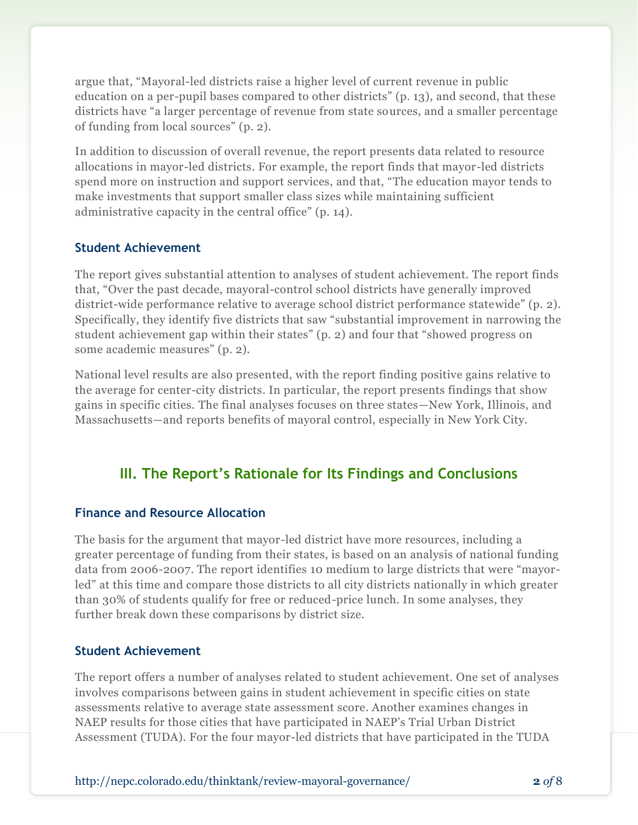argue that, "Mayoral-led districts raise a higher level of current revenue in public education on a per-pupil bases compared to other districts" (p. 13), and second, that these districts have "a larger percentage of revenue from state sources, and a smaller percentage of funding from local sources" (p. 2).

In addition to discussion of overall revenue, the report presents data related to resource allocations in mayor-led districts. For example, the report finds that mayor-led districts spend more on instruction and support services, and that, "The education mayor tends to make investments that support smaller class sizes while maintaining sufficient administrative capacity in the central office" (p. 14).

#### **Student Achievement**

The report gives substantial attention to analyses of student achievement. The report finds that, "Over the past decade, mayoral-control school districts have generally improved district-wide performance relative to average school district performance statewide" (p. 2). Specifically, they identify five districts that saw "substantial improvement in narrowing the student achievement gap within their states" (p. 2) and four that "showed progress on some academic measures" (p. 2).

National level results are also presented, with the report finding positive gains relative to the average for center-city districts. In particular, the report presents findings that show gains in specific cities. The final analyses focuses on three states—New York, Illinois, and Massachusetts—and reports benefits of mayoral control, especially in New York City.

## **III. The Report's Rationale for Its Findings and Conclusions**

#### **Finance and Resource Allocation**

The basis for the argument that mayor-led district have more resources, including a greater percentage of funding from their states, is based on an analysis of national funding data from 2006-2007. The report identifies 10 medium to large districts that were "mayorled" at this time and compare those districts to all city districts nationally in which greater than 30% of students qualify for free or reduced-price lunch. In some analyses, they further break down these comparisons by district size.

#### **Student Achievement**

The report offers a number of analyses related to student achievement. One set of analyses involves comparisons between gains in student achievement in specific cities on state assessments relative to average state assessment score. Another examines changes in NAEP results for those cities that have participated in NAEP's Trial Urban District Assessment (TUDA). For the four mayor-led districts that have participated in the TUDA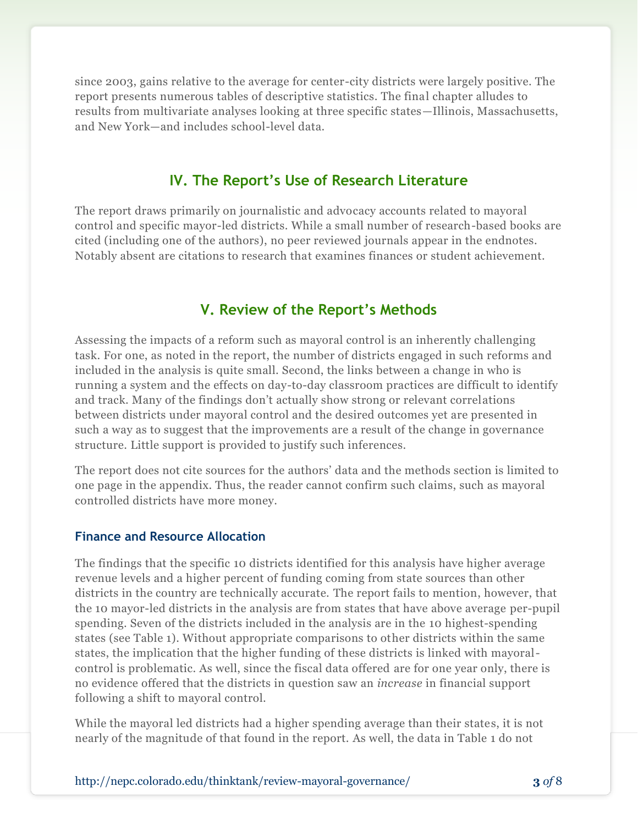since 2003, gains relative to the average for center-city districts were largely positive. The report presents numerous tables of descriptive statistics. The final chapter alludes to results from multivariate analyses looking at three specific states—Illinois, Massachusetts, and New York—and includes school-level data.

### **IV. The Report's Use of Research Literature**

The report draws primarily on journalistic and advocacy accounts related to mayoral control and specific mayor-led districts. While a small number of research-based books are cited (including one of the authors), no peer reviewed journals appear in the endnotes. Notably absent are citations to research that examines finances or student achievement.

#### **V. Review of the Report's Methods**

Assessing the impacts of a reform such as mayoral control is an inherently challenging task. For one, as noted in the report, the number of districts engaged in such reforms and included in the analysis is quite small. Second, the links between a change in who is running a system and the effects on day-to-day classroom practices are difficult to identify and track. Many of the findings don't actually show strong or relevant correlations between districts under mayoral control and the desired outcomes yet are presented in such a way as to suggest that the improvements are a result of the change in governance structure. Little support is provided to justify such inferences.

The report does not cite sources for the authors' data and the methods section is limited to one page in the appendix. Thus, the reader cannot confirm such claims, such as mayoral controlled districts have more money.

#### **Finance and Resource Allocation**

The findings that the specific 10 districts identified for this analysis have higher average revenue levels and a higher percent of funding coming from state sources than other districts in the country are technically accurate. The report fails to mention, however, that the 10 mayor-led districts in the analysis are from states that have above average per-pupil spending. Seven of the districts included in the analysis are in the 10 highest-spending states (see Table 1). Without appropriate comparisons to other districts within the same states, the implication that the higher funding of these districts is linked with mayoralcontrol is problematic. As well, since the fiscal data offered are for one year only, there is no evidence offered that the districts in question saw an *increase* in financial support following a shift to mayoral control.

While the mayoral led districts had a higher spending average than their states, it is not nearly of the magnitude of that found in the report. As well, the data in Table 1 do not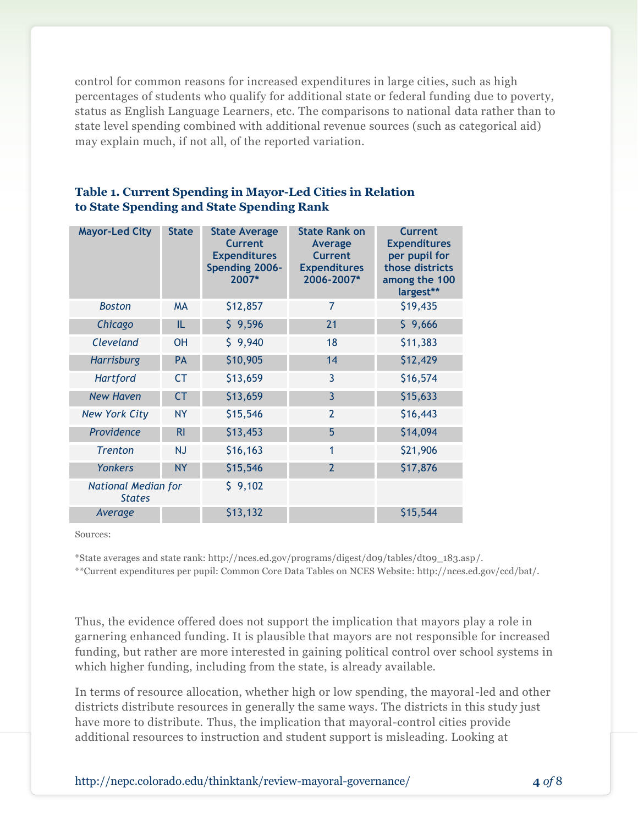control for common reasons for increased expenditures in large cities, such as high percentages of students who qualify for additional state or federal funding due to poverty, status as English Language Learners, etc. The comparisons to national data rather than to state level spending combined with additional revenue sources (such as categorical aid) may explain much, if not all, of the reported variation.

| <b>Mayor-Led City</b>                       | <b>State</b>   | <b>State Average</b><br><b>Current</b><br><b>Expenditures</b><br>Spending 2006-<br>2007* | <b>State Rank on</b><br>Average<br><b>Current</b><br><b>Expenditures</b><br>2006-2007* | <b>Current</b><br><b>Expenditures</b><br>per pupil for<br>those districts<br>among the 100<br>largest** |
|---------------------------------------------|----------------|------------------------------------------------------------------------------------------|----------------------------------------------------------------------------------------|---------------------------------------------------------------------------------------------------------|
| <b>Boston</b>                               | <b>MA</b>      | \$12,857                                                                                 | 7                                                                                      | \$19,435                                                                                                |
| Chicago                                     | IL             | \$9,596                                                                                  | 21                                                                                     | \$9,666                                                                                                 |
| Cleveland                                   | <b>OH</b>      | \$9,940                                                                                  | 18                                                                                     | \$11,383                                                                                                |
| <b>Harrisburg</b>                           | PA             | \$10,905                                                                                 | 14                                                                                     | \$12,429                                                                                                |
| <b>Hartford</b>                             | <b>CT</b>      | \$13,659                                                                                 | 3                                                                                      | \$16,574                                                                                                |
| <b>New Haven</b>                            | <b>CT</b>      | \$13,659                                                                                 | 3                                                                                      | \$15,633                                                                                                |
| <b>New York City</b>                        | <b>NY</b>      | \$15,546                                                                                 | $\overline{2}$                                                                         | \$16,443                                                                                                |
| Providence                                  | R <sub>l</sub> | \$13,453                                                                                 | 5                                                                                      | \$14,094                                                                                                |
| <b>Trenton</b>                              | <b>NJ</b>      | \$16,163                                                                                 | $\mathbf{1}$                                                                           | \$21,906                                                                                                |
| Yonkers                                     | <b>NY</b>      | \$15,546                                                                                 | $\overline{2}$                                                                         | \$17,876                                                                                                |
| <b>National Median for</b><br><b>States</b> |                | \$9,102                                                                                  |                                                                                        |                                                                                                         |
| Average                                     |                | \$13,132                                                                                 |                                                                                        | \$15,544                                                                                                |

#### **Table 1. Current Spending in Mayor-Led Cities in Relation to State Spending and State Spending Rank**

Sources:

\*State averages and state rank: http://nces.ed.gov/programs/digest/d09/tables/dt09\_183.asp/.

\*\*Current expenditures per pupil: Common Core Data Tables on NCES Website: http://nces.ed.gov/ccd/bat/.

Thus, the evidence offered does not support the implication that mayors play a role in garnering enhanced funding. It is plausible that mayors are not responsible for increased funding, but rather are more interested in gaining political control over school systems in which higher funding, including from the state, is already available.

In terms of resource allocation, whether high or low spending, the mayoral-led and other districts distribute resources in generally the same ways. The districts in this study just have more to distribute. Thus, the implication that mayoral-control cities provide additional resources to instruction and student support is misleading. Looking at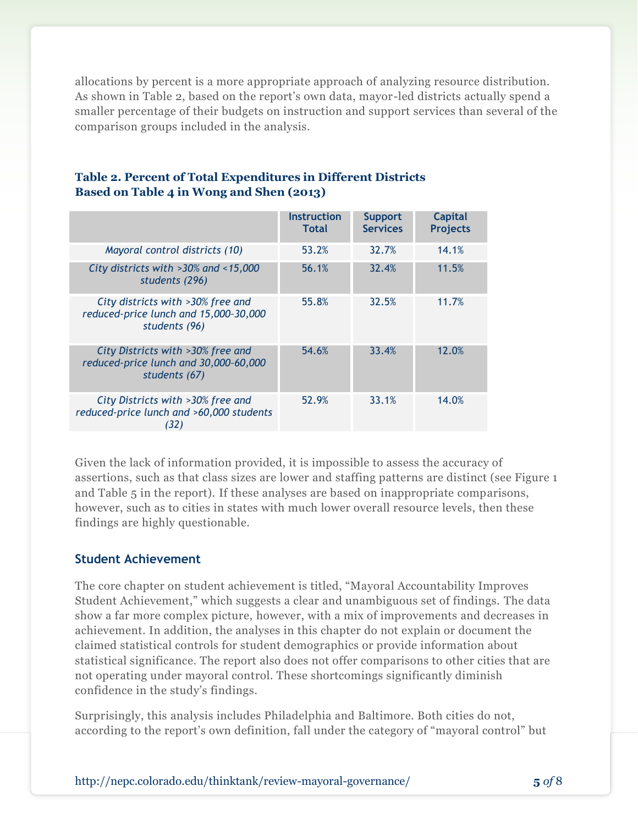allocations by percent is a more appropriate approach of analyzing resource distribution. As shown in Table 2, based on the report's own data, mayor-led districts actually spend a smaller percentage of their budgets on instruction and support services than several of the comparison groups included in the analysis.

|                                                                                             | <b>Instruction</b><br><b>Total</b> | <b>Support</b><br><b>Services</b> | <b>Capital</b><br><b>Projects</b> |
|---------------------------------------------------------------------------------------------|------------------------------------|-----------------------------------|-----------------------------------|
| Mayoral control districts (10)                                                              | 53.2%                              | 32.7%                             | 14.1%                             |
| City districts with >30% and <15,000<br>students (296)                                      | 56.1%                              | 32.4%                             | 11.5%                             |
| City districts with >30% free and<br>reduced-price lunch and 15,000-30,000<br>students (96) | 55.8%                              | 32.5%                             | 11.7%                             |
| City Districts with >30% free and<br>reduced-price lunch and 30,000-60,000<br>students (67) | 54.6%                              | 33.4%                             | 12.0%                             |
| City Districts with >30% free and<br>reduced-price lunch and >60,000 students<br>(32)       | 52.9%                              | 33.1%                             | 14.0%                             |

#### **Table 2. Percent of Total Expenditures in Different Districts Based on Table 4 in Wong and Shen (2013)**

Given the lack of information provided, it is impossible to assess the accuracy of assertions, such as that class sizes are lower and staffing patterns are distinct (see Figure 1 and Table 5 in the report). If these analyses are based on inappropriate comparisons, however, such as to cities in states with much lower overall resource levels, then these findings are highly questionable.

#### **Student Achievement**

The core chapter on student achievement is titled, "Mayoral Accountability Improves Student Achievement," which suggests a clear and unambiguous set of findings. The data show a far more complex picture, however, with a mix of improvements and decreases in achievement. In addition, the analyses in this chapter do not explain or document the claimed statistical controls for student demographics or provide information about statistical significance. The report also does not offer comparisons to other cities that are not operating under mayoral control. These shortcomings significantly diminish confidence in the study's findings.

Surprisingly, this analysis includes Philadelphia and Baltimore. Both cities do not, according to the report's own definition, fall under the category of "mayoral control" but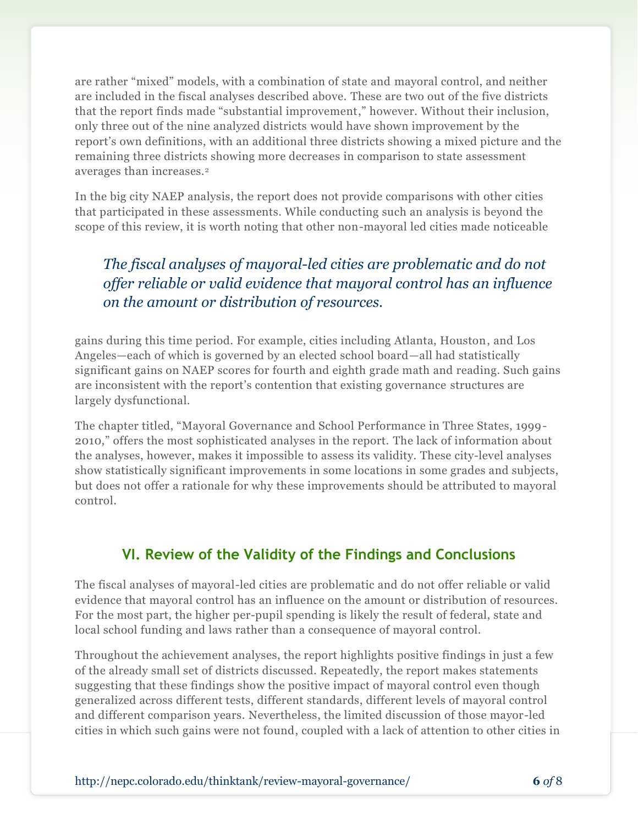are rather "mixed" models, with a combination of state and mayoral control, and neither are included in the fiscal analyses described above. These are two out of the five districts that the report finds made "substantial improvement," however. Without their inclusion, only three out of the nine analyzed districts would have shown improvement by the report's own definitions, with an additional three districts showing a mixed picture and the remaining three districts showing more decreases in comparison to state assessment averages than increases.<sup>2</sup>

In the big city NAEP analysis, the report does not provide comparisons with other cities that participated in these assessments. While conducting such an analysis is beyond the scope of this review, it is worth noting that other non-mayoral led cities made noticeable

## *The fiscal analyses of mayoral-led cities are problematic and do not offer reliable or valid evidence that mayoral control has an influence on the amount or distribution of resources.*

gains during this time period. For example, cities including Atlanta, Houston, and Los Angeles—each of which is governed by an elected school board—all had statistically significant gains on NAEP scores for fourth and eighth grade math and reading. Such gains are inconsistent with the report's contention that existing governance structures are largely dysfunctional.

The chapter titled, "Mayoral Governance and School Performance in Three States, 1999- 2010," offers the most sophisticated analyses in the report. The lack of information about the analyses, however, makes it impossible to assess its validity. These city-level analyses show statistically significant improvements in some locations in some grades and subjects, but does not offer a rationale for why these improvements should be attributed to mayoral control.

## **VI. Review of the Validity of the Findings and Conclusions**

The fiscal analyses of mayoral-led cities are problematic and do not offer reliable or valid evidence that mayoral control has an influence on the amount or distribution of resources. For the most part, the higher per-pupil spending is likely the result of federal, state and local school funding and laws rather than a consequence of mayoral control.

Throughout the achievement analyses, the report highlights positive findings in just a few of the already small set of districts discussed. Repeatedly, the report makes statements suggesting that these findings show the positive impact of mayoral control even though generalized across different tests, different standards, different levels of mayoral control and different comparison years. Nevertheless, the limited discussion of those mayor-led cities in which such gains were not found, coupled with a lack of attention to other cities in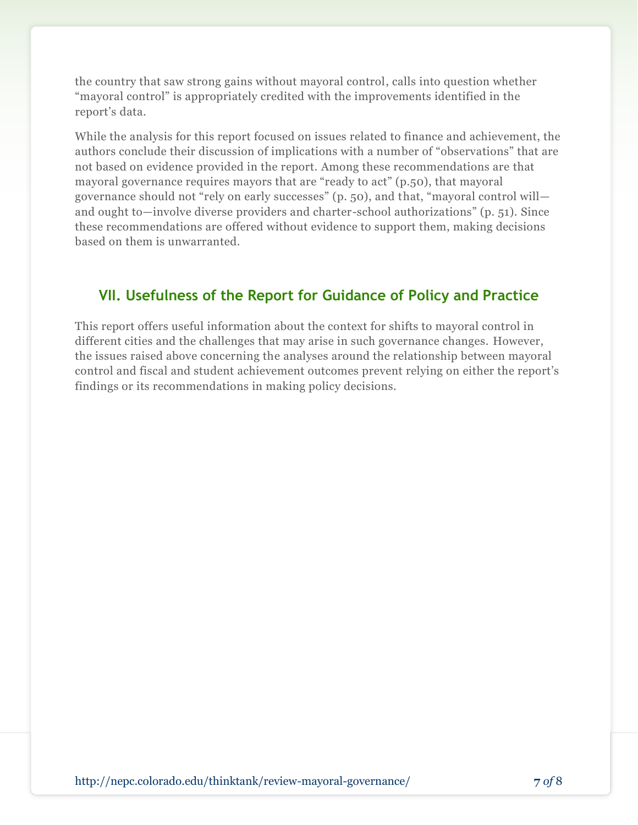the country that saw strong gains without mayoral control, calls into question whether "mayoral control" is appropriately credited with the improvements identified in the report's data.

While the analysis for this report focused on issues related to finance and achievement, the authors conclude their discussion of implications with a number of "observations" that are not based on evidence provided in the report. Among these recommendations are that mayoral governance requires mayors that are "ready to act" (p.50), that mayoral governance should not "rely on early successes" (p. 50), and that, "mayoral control will and ought to—involve diverse providers and charter-school authorizations" (p. 51). Since these recommendations are offered without evidence to support them, making decisions based on them is unwarranted.

## **VII. Usefulness of the Report for Guidance of Policy and Practice**

This report offers useful information about the context for shifts to mayoral control in different cities and the challenges that may arise in such governance changes. However, the issues raised above concerning the analyses around the relationship between mayoral control and fiscal and student achievement outcomes prevent relying on either the report's findings or its recommendations in making policy decisions.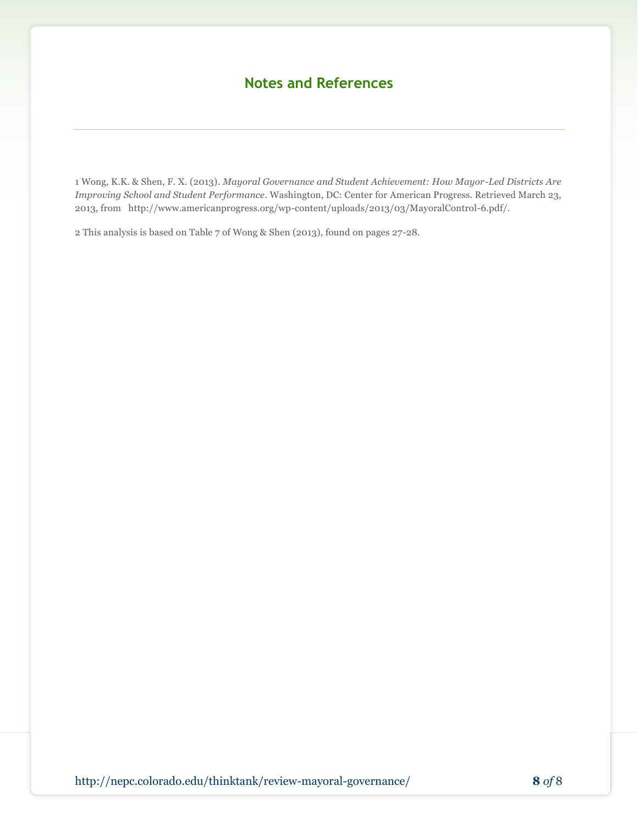## **Notes and References**

1 Wong, K.K. & Shen, F. X. (2013)*. Mayoral Governance and Student Achievement: How Mayor-Led Districts Are Improving School and Student Performance*. Washington, DC: Center for American Progress. Retrieved March 23, 2013, from [http://www.americanprogress.org/wp-content/uploads/2013/03/MayoralControl-6.pdf/](http://www.americanprogress.org/wp-content/uploads/2013/03/MayoralControl-6.pdf).

2 This analysis is based on Table 7 of Wong & Shen (2013), found on pages 27-28.